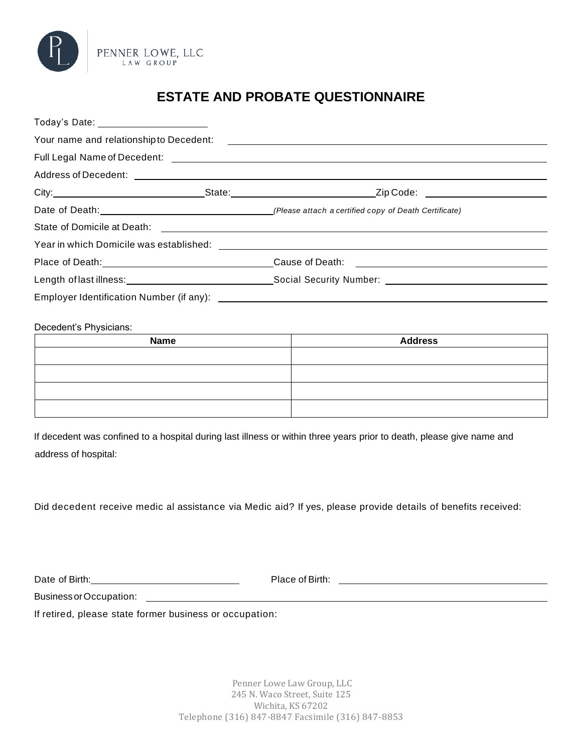

# **ESTATE AND PROBATE QUESTIONNAIRE**

| Today's Date: ________________________                                                        |  |                                                                              |  |
|-----------------------------------------------------------------------------------------------|--|------------------------------------------------------------------------------|--|
|                                                                                               |  |                                                                              |  |
|                                                                                               |  |                                                                              |  |
|                                                                                               |  |                                                                              |  |
|                                                                                               |  |                                                                              |  |
| Date of Death: <u>Charles Community (Please</u> attach a certified copy of Death Certificate) |  |                                                                              |  |
|                                                                                               |  | State of Domicile at Death: <u>example and a state of Domicile</u> at Death: |  |
|                                                                                               |  |                                                                              |  |
|                                                                                               |  |                                                                              |  |
|                                                                                               |  |                                                                              |  |
|                                                                                               |  |                                                                              |  |

Decedent's Physicians:

| <b>Name</b> | <b>Address</b> |
|-------------|----------------|
|             |                |
|             |                |
|             |                |
|             |                |

If decedent was confined to a hospital during last illness or within three years prior to death, please give name and address of hospital:

Did decedent receive medic al assistance via Medic aid? If yes, please provide details of benefits received:

| Date of Birth: |  |
|----------------|--|
|                |  |

Place of Birth: Place of Birth: Place of Birth: Place of Birth: Place of Birth: Place of Birth: Place of Birth: Place of Birth: Place of Birth: Place of Birth: Place of Birth: Place of Birth: Place of Birth: Place of Birth

Business or Occupation: \_\_\_\_\_\_\_\_\_\_\_

If retired, please state former business or occupation: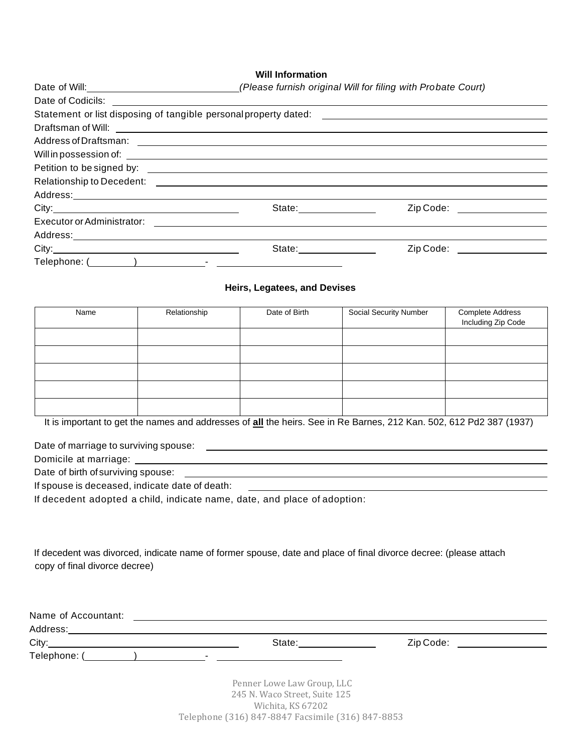# **Will Information**

|       | Date of Will: \\one \\one \\one \\one \\one \\one \\one \\one \\one \\one \\one \\one \\one \\one \\one \\one \\one \\one \\one \\one \\one \\one \\one \\one \\one \\one \\one \\one \\one \\one \\one \\one \\one \\one \\on       |                                                                                                               |  |  |  |
|-------|--------------------------------------------------------------------------------------------------------------------------------------------------------------------------------------------------------------------------------------|---------------------------------------------------------------------------------------------------------------|--|--|--|
|       |                                                                                                                                                                                                                                      |                                                                                                               |  |  |  |
|       | Statement or list disposing of tangible personal property dated: ___________________________________                                                                                                                                 |                                                                                                               |  |  |  |
|       |                                                                                                                                                                                                                                      |                                                                                                               |  |  |  |
|       |                                                                                                                                                                                                                                      |                                                                                                               |  |  |  |
|       |                                                                                                                                                                                                                                      |                                                                                                               |  |  |  |
|       | Petition to be signed by: <u>example and contact the set of the set of the set of the set of the set of the set of the set of the set of the set of the set of the set of the set of the set of the set of the set of the set of</u> |                                                                                                               |  |  |  |
|       |                                                                                                                                                                                                                                      |                                                                                                               |  |  |  |
|       |                                                                                                                                                                                                                                      |                                                                                                               |  |  |  |
|       | State: _______________                                                                                                                                                                                                               | Zip Code: The Code State of the Code                                                                          |  |  |  |
|       |                                                                                                                                                                                                                                      |                                                                                                               |  |  |  |
|       |                                                                                                                                                                                                                                      |                                                                                                               |  |  |  |
| City: |                                                                                                                                                                                                                                      | Zip Code: The Code Service of the Code Service of the Code Service of the Code Service of the Code Service of |  |  |  |
|       |                                                                                                                                                                                                                                      |                                                                                                               |  |  |  |

## **Heirs, Legatees, and Devises**

| Name | Relationship | Date of Birth | Social Security Number | Complete Address<br>Including Zip Code |
|------|--------------|---------------|------------------------|----------------------------------------|
|      |              |               |                        |                                        |
|      |              |               |                        |                                        |
|      |              |               |                        |                                        |
|      |              |               |                        |                                        |
|      |              |               |                        |                                        |

It is important to get the names and addresses of **all** the heirs. See in Re Barnes, 212 Kan. 502, 612 Pd2 387 (1937)

| Date of marriage to surviving spouse:                                    |
|--------------------------------------------------------------------------|
|                                                                          |
| Date of birth of surviving spouse:                                       |
| If spouse is deceased, indicate date of death:                           |
| If decedent adopted a child, indicate name, date, and place of adoption: |

If decedent was divorced, indicate name of former spouse, date and place of final divorce decree: (please attach copy of final divorce decree)

| Name of Accountant: |  |        |           |  |
|---------------------|--|--------|-----------|--|
| Address:            |  |        |           |  |
| City:               |  | State: | Zip Code: |  |
| Telephone: (        |  |        |           |  |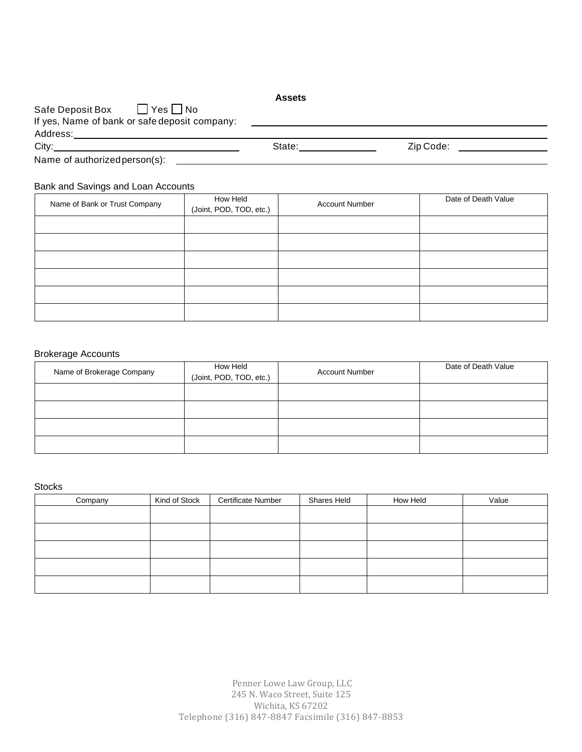#### **Assets**

# Safe Deposit Box  $\Box$  Yes  $\Box$  No If yes, Name of bank or safe deposit company: Address: City: State: Zip Code:

Name of authorizedperson(s):

### Bank and Savings and Loan Accounts

| Name of Bank or Trust Company | How Held<br>(Joint, POD, TOD, etc.) | <b>Account Number</b> | Date of Death Value |
|-------------------------------|-------------------------------------|-----------------------|---------------------|
|                               |                                     |                       |                     |
|                               |                                     |                       |                     |
|                               |                                     |                       |                     |
|                               |                                     |                       |                     |
|                               |                                     |                       |                     |
|                               |                                     |                       |                     |

# Brokerage Accounts

| Name of Brokerage Company | How Held<br>(Joint, POD, TOD, etc.) | <b>Account Number</b> | Date of Death Value |
|---------------------------|-------------------------------------|-----------------------|---------------------|
|                           |                                     |                       |                     |
|                           |                                     |                       |                     |
|                           |                                     |                       |                     |
|                           |                                     |                       |                     |

### **Stocks**

| Company | Kind of Stock | <b>Certificate Number</b> | Shares Held | How Held | Value |
|---------|---------------|---------------------------|-------------|----------|-------|
|         |               |                           |             |          |       |
|         |               |                           |             |          |       |
|         |               |                           |             |          |       |
|         |               |                           |             |          |       |
|         |               |                           |             |          |       |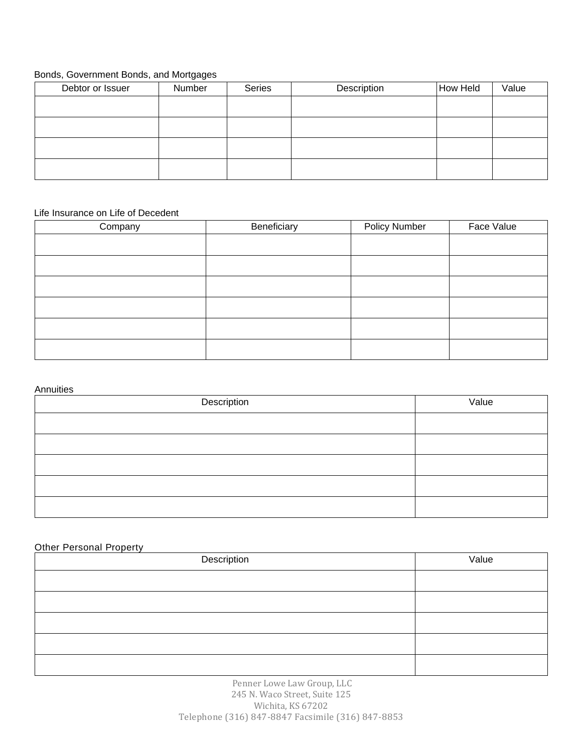# Bonds, Government Bonds, and Mortgages

| Debtor or Issuer | Number | <b>Series</b> | Description | How Held | Value |
|------------------|--------|---------------|-------------|----------|-------|
|                  |        |               |             |          |       |
|                  |        |               |             |          |       |
|                  |        |               |             |          |       |
|                  |        |               |             |          |       |
|                  |        |               |             |          |       |

### Life Insurance on Life of Decedent

| Company | Beneficiary | <b>Policy Number</b> | Face Value |
|---------|-------------|----------------------|------------|
|         |             |                      |            |
|         |             |                      |            |
|         |             |                      |            |
|         |             |                      |            |
|         |             |                      |            |
|         |             |                      |            |

### Annuities

| Description | Value |
|-------------|-------|
|             |       |
|             |       |
|             |       |
|             |       |
|             |       |

### Other Personal Property

| Description | Value |
|-------------|-------|
|             |       |
|             |       |
|             |       |
|             |       |
|             |       |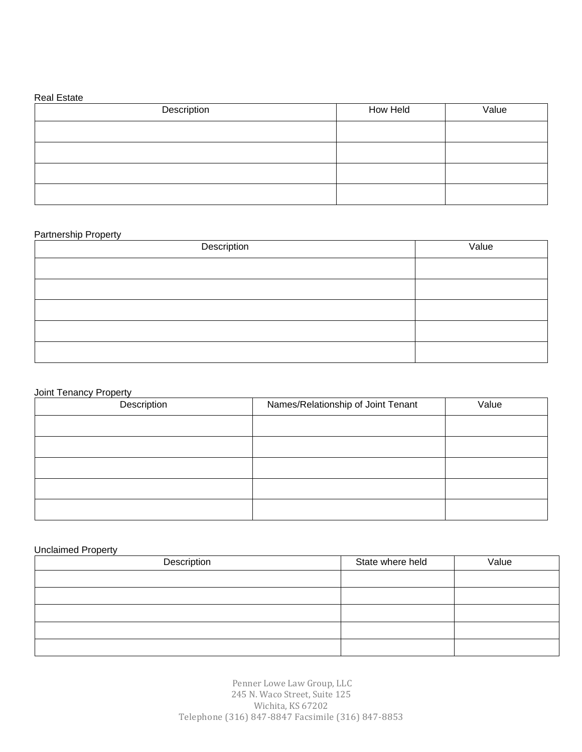# Real Estate

| Description | How Held | Value |
|-------------|----------|-------|
|             |          |       |
|             |          |       |
|             |          |       |
|             |          |       |

### Partnership Property

| Description | Value |
|-------------|-------|
|             |       |
|             |       |
|             |       |
|             |       |
|             |       |

# Joint Tenancy Property

| Description | Names/Relationship of Joint Tenant | Value |
|-------------|------------------------------------|-------|
|             |                                    |       |
|             |                                    |       |
|             |                                    |       |
|             |                                    |       |
|             |                                    |       |

## Unclaimed Property

| Description | State where held | Value |
|-------------|------------------|-------|
|             |                  |       |
|             |                  |       |
|             |                  |       |
|             |                  |       |
|             |                  |       |